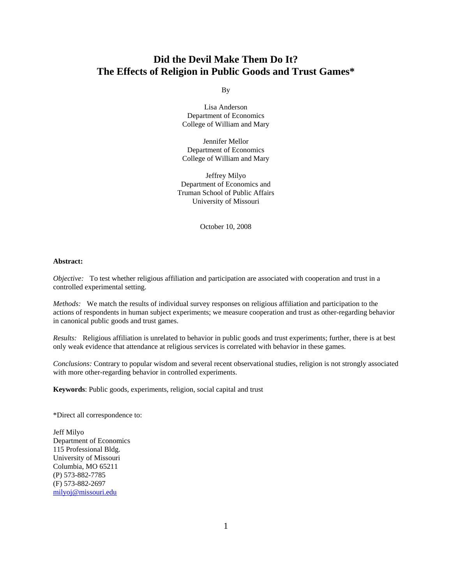# **Did the Devil Make Them Do It? The Effects of Religion in Public Goods and Trust Games\***

By

Lisa Anderson Department of Economics College of William and Mary

Jennifer Mellor Department of Economics College of William and Mary

Jeffrey Milyo Department of Economics and Truman School of Public Affairs University of Missouri

October 10, 2008

#### **Abstract:**

*Objective:* To test whether religious affiliation and participation are associated with cooperation and trust in a controlled experimental setting.

*Methods:* We match the results of individual survey responses on religious affiliation and participation to the actions of respondents in human subject experiments; we measure cooperation and trust as other-regarding behavior in canonical public goods and trust games.

*Results:* Religious affiliation is unrelated to behavior in public goods and trust experiments; further, there is at best only weak evidence that attendance at religious services is correlated with behavior in these games.

*Conclusions:* Contrary to popular wisdom and several recent observational studies, religion is not strongly associated with more other-regarding behavior in controlled experiments.

**Keywords**: Public goods, experiments, religion, social capital and trust

\*Direct all correspondence to:

Jeff Milyo Department of Economics 115 Professional Bldg. University of Missouri Columbia, MO 65211 (P) 573-882-7785 (F) 573-882-2697 milyoj@missouri.edu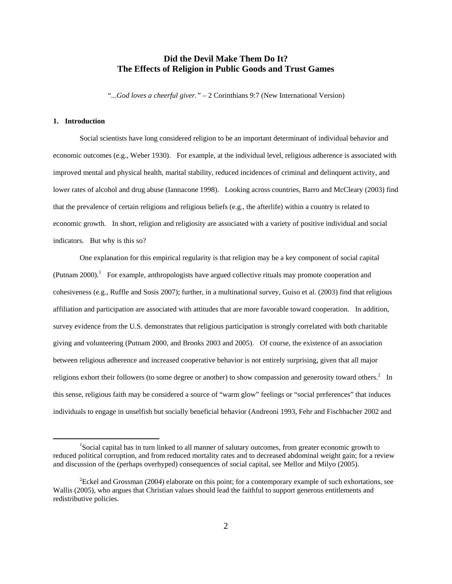# **Did the Devil Make Them Do It? The Effects of Religion in Public Goods and Trust Games**

*"...God loves a cheerful giver."* – 2 Corinthians 9:7 (New International Version)

## **1. Introduction**

Social scientists have long considered religion to be an important determinant of individual behavior and economic outcomes (e.g., Weber 1930). For example, at the individual level, religious adherence is associated with improved mental and physical health, marital stability, reduced incidences of criminal and delinquent activity, and lower rates of alcohol and drug abuse (Iannacone 1998). Looking across countries, Barro and McCleary (2003) find that the prevalence of certain religions and religious beliefs (e.g., the afterlife) within a country is related to economic growth. In short, religion and religiosity are associated with a variety of positive individual and social indicators. But why is this so?

One explanation for this empirical regularity is that religion may be a key component of social capital (Putnam 2000).<sup>1</sup> For example, anthropologists have argued collective rituals may promote cooperation and cohesiveness (e.g., Ruffle and Sosis 2007); further, in a multinational survey, Guiso et al. (2003) find that religious affiliation and participation are associated with attitudes that are more favorable toward cooperation. In addition, survey evidence from the U.S. demonstrates that religious participation is strongly correlated with both charitable giving and volunteering (Putnam 2000, and Brooks 2003 and 2005). Of course, the existence of an association between religious adherence and increased cooperative behavior is not entirely surprising, given that all major religions exhort their followers (to some degree or another) to show compassion and generosity toward others.<sup>2</sup> In this sense, religious faith may be considered a source of "warm glow" feelings or "social preferences" that induces individuals to engage in unselfish but socially beneficial behavior (Andreoni 1993, Fehr and Fischbacher 2002 and

 $\frac{1}{1}$ <sup>1</sup>Social capital has in turn linked to all manner of salutary outcomes, from greater economic growth to reduced political corruption, and from reduced mortality rates and to decreased abdominal weight gain; for a review and discussion of the (perhaps overhyped) consequences of social capital, see Mellor and Milyo (2005).

 ${}^{2}$ Eckel and Grossman (2004) elaborate on this point; for a contemporary example of such exhortations, see Wallis (2005), who argues that Christian values should lead the faithful to support generous entitlements and redistributive policies.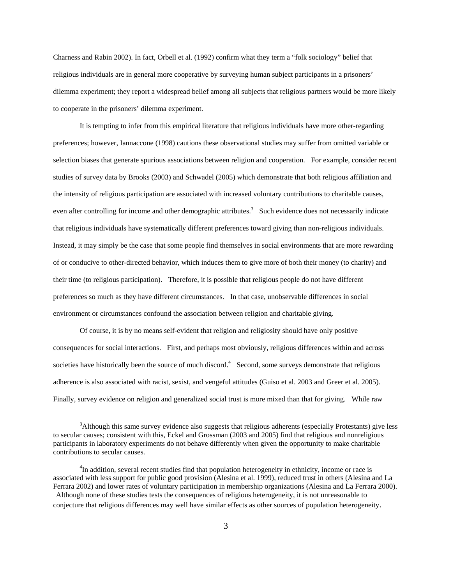Charness and Rabin 2002). In fact, Orbell et al. (1992) confirm what they term a "folk sociology" belief that religious individuals are in general more cooperative by surveying human subject participants in a prisoners' dilemma experiment; they report a widespread belief among all subjects that religious partners would be more likely to cooperate in the prisoners' dilemma experiment.

It is tempting to infer from this empirical literature that religious individuals have more other-regarding preferences; however, Iannaccone (1998) cautions these observational studies may suffer from omitted variable or selection biases that generate spurious associations between religion and cooperation. For example, consider recent studies of survey data by Brooks (2003) and Schwadel (2005) which demonstrate that both religious affiliation and the intensity of religious participation are associated with increased voluntary contributions to charitable causes, even after controlling for income and other demographic attributes.<sup>3</sup> Such evidence does not necessarily indicate that religious individuals have systematically different preferences toward giving than non-religious individuals. Instead, it may simply be the case that some people find themselves in social environments that are more rewarding of or conducive to other-directed behavior, which induces them to give more of both their money (to charity) and their time (to religious participation). Therefore, it is possible that religious people do not have different preferences so much as they have different circumstances. In that case, unobservable differences in social environment or circumstances confound the association between religion and charitable giving.

 Of course, it is by no means self-evident that religion and religiosity should have only positive consequences for social interactions. First, and perhaps most obviously, religious differences within and across societies have historically been the source of much discord.<sup>4</sup> Second, some surveys demonstrate that religious adherence is also associated with racist, sexist, and vengeful attitudes (Guiso et al. 2003 and Greer et al. 2005). Finally, survey evidence on religion and generalized social trust is more mixed than that for giving. While raw

 <sup>3</sup> <sup>3</sup>Although this same survey evidence also suggests that religious adherents (especially Protestants) give less to secular causes; consistent with this, Eckel and Grossman (2003 and 2005) find that religious and nonreligious participants in laboratory experiments do not behave differently when given the opportunity to make charitable contributions to secular causes.

<sup>&</sup>lt;sup>4</sup>In addition, several recent studies find that population heterogeneity in ethnicity, income or race is associated with less support for public good provision (Alesina et al. 1999), reduced trust in others (Alesina and La Ferrara 2002) and lower rates of voluntary participation in membership organizations (Alesina and La Ferrara 2000). Although none of these studies tests the consequences of religious heterogeneity, it is not unreasonable to

conjecture that religious differences may well have similar effects as other sources of population heterogeneity.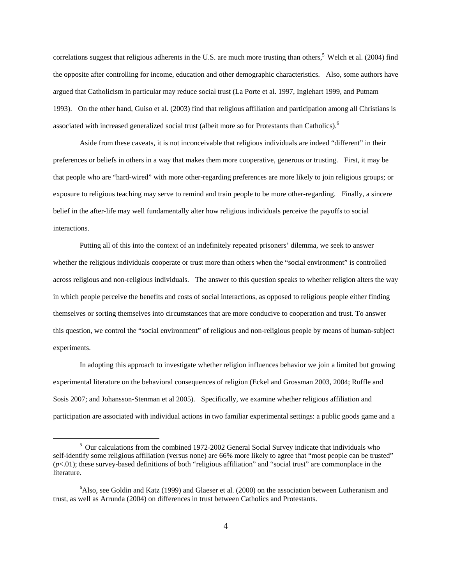correlations suggest that religious adherents in the U.S. are much more trusting than others,<sup>5</sup> Welch et al. (2004) find the opposite after controlling for income, education and other demographic characteristics. Also, some authors have argued that Catholicism in particular may reduce social trust (La Porte et al. 1997, Inglehart 1999, and Putnam 1993). On the other hand, Guiso et al. (2003) find that religious affiliation and participation among all Christians is associated with increased generalized social trust (albeit more so for Protestants than Catholics).6

Aside from these caveats, it is not inconceivable that religious individuals are indeed "different" in their preferences or beliefs in others in a way that makes them more cooperative, generous or trusting. First, it may be that people who are "hard-wired" with more other-regarding preferences are more likely to join religious groups; or exposure to religious teaching may serve to remind and train people to be more other-regarding. Finally, a sincere belief in the after-life may well fundamentally alter how religious individuals perceive the payoffs to social interactions.

Putting all of this into the context of an indefinitely repeated prisoners' dilemma, we seek to answer whether the religious individuals cooperate or trust more than others when the "social environment" is controlled across religious and non-religious individuals. The answer to this question speaks to whether religion alters the way in which people perceive the benefits and costs of social interactions, as opposed to religious people either finding themselves or sorting themselves into circumstances that are more conducive to cooperation and trust. To answer this question, we control the "social environment" of religious and non-religious people by means of human-subject experiments.

In adopting this approach to investigate whether religion influences behavior we join a limited but growing experimental literature on the behavioral consequences of religion (Eckel and Grossman 2003, 2004; Ruffle and Sosis 2007; and Johansson-Stenman et al 2005). Specifically, we examine whether religious affiliation and participation are associated with individual actions in two familiar experimental settings: a public goods game and a

 $\frac{1}{5}$ <sup>5</sup> Our calculations from the combined 1972-2002 General Social Survey indicate that individuals who self-identify some religious affiliation (versus none) are 66% more likely to agree that "most people can be trusted" (*p*<.01); these survey-based definitions of both "religious affiliation" and "social trust" are commonplace in the literature.

<sup>&</sup>lt;sup>6</sup>Also, see Goldin and Katz (1999) and Glaeser et al. (2000) on the association between Lutheranism and trust, as well as Arrunda (2004) on differences in trust between Catholics and Protestants.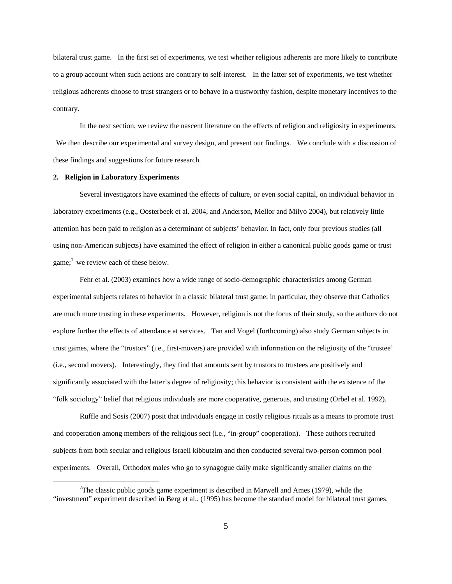bilateral trust game. In the first set of experiments, we test whether religious adherents are more likely to contribute to a group account when such actions are contrary to self-interest. In the latter set of experiments, we test whether religious adherents choose to trust strangers or to behave in a trustworthy fashion, despite monetary incentives to the contrary.

In the next section, we review the nascent literature on the effects of religion and religiosity in experiments. We then describe our experimental and survey design, and present our findings. We conclude with a discussion of these findings and suggestions for future research.

#### **2. Religion in Laboratory Experiments**

Several investigators have examined the effects of culture, or even social capital, on individual behavior in laboratory experiments (e.g., Oosterbeek et al. 2004, and Anderson, Mellor and Milyo 2004), but relatively little attention has been paid to religion as a determinant of subjects' behavior. In fact, only four previous studies (all using non-American subjects) have examined the effect of religion in either a canonical public goods game or trust game;<sup>7</sup> we review each of these below.

Fehr et al. (2003) examines how a wide range of socio-demographic characteristics among German experimental subjects relates to behavior in a classic bilateral trust game; in particular, they observe that Catholics are much more trusting in these experiments. However, religion is not the focus of their study, so the authors do not explore further the effects of attendance at services. Tan and Vogel (forthcoming) also study German subjects in trust games, where the "trustors" (i.e., first-movers) are provided with information on the religiosity of the "trustee' (i.e., second movers). Interestingly, they find that amounts sent by trustors to trustees are positively and significantly associated with the latter's degree of religiosity; this behavior is consistent with the existence of the "folk sociology" belief that religious individuals are more cooperative, generous, and trusting (Orbel et al. 1992).

Ruffle and Sosis (2007) posit that individuals engage in costly religious rituals as a means to promote trust and cooperation among members of the religious sect (i.e., "in-group" cooperation). These authors recruited subjects from both secular and religious Israeli kibbutzim and then conducted several two-person common pool experiments. Overall, Orthodox males who go to synagogue daily make significantly smaller claims on the

 $\frac{1}{7}$ The classic public goods game experiment is described in Marwell and Ames (1979), while the "investment" experiment described in Berg et al.. (1995) has become the standard model for bilateral trust games.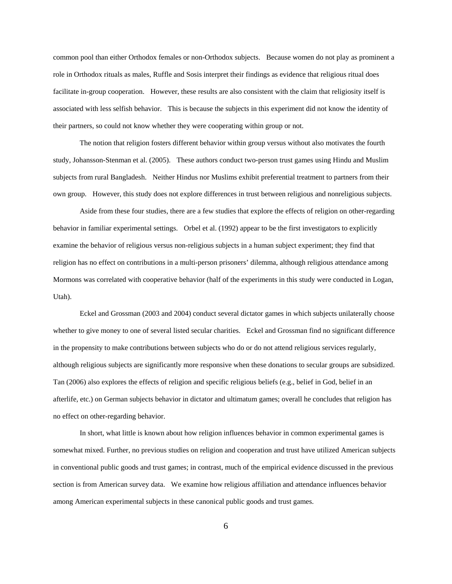common pool than either Orthodox females or non-Orthodox subjects. Because women do not play as prominent a role in Orthodox rituals as males, Ruffle and Sosis interpret their findings as evidence that religious ritual does facilitate in-group cooperation. However, these results are also consistent with the claim that religiosity itself is associated with less selfish behavior. This is because the subjects in this experiment did not know the identity of their partners, so could not know whether they were cooperating within group or not.

The notion that religion fosters different behavior within group versus without also motivates the fourth study, Johansson-Stenman et al. (2005). These authors conduct two-person trust games using Hindu and Muslim subjects from rural Bangladesh. Neither Hindus nor Muslims exhibit preferential treatment to partners from their own group. However, this study does not explore differences in trust between religious and nonreligious subjects.

Aside from these four studies, there are a few studies that explore the effects of religion on other-regarding behavior in familiar experimental settings. Orbel et al. (1992) appear to be the first investigators to explicitly examine the behavior of religious versus non-religious subjects in a human subject experiment; they find that religion has no effect on contributions in a multi-person prisoners' dilemma, although religious attendance among Mormons was correlated with cooperative behavior (half of the experiments in this study were conducted in Logan, Utah).

Eckel and Grossman (2003 and 2004) conduct several dictator games in which subjects unilaterally choose whether to give money to one of several listed secular charities. Eckel and Grossman find no significant difference in the propensity to make contributions between subjects who do or do not attend religious services regularly, although religious subjects are significantly more responsive when these donations to secular groups are subsidized. Tan (2006) also explores the effects of religion and specific religious beliefs (e.g., belief in God, belief in an afterlife, etc.) on German subjects behavior in dictator and ultimatum games; overall he concludes that religion has no effect on other-regarding behavior.

In short, what little is known about how religion influences behavior in common experimental games is somewhat mixed. Further, no previous studies on religion and cooperation and trust have utilized American subjects in conventional public goods and trust games; in contrast, much of the empirical evidence discussed in the previous section is from American survey data. We examine how religious affiliation and attendance influences behavior among American experimental subjects in these canonical public goods and trust games.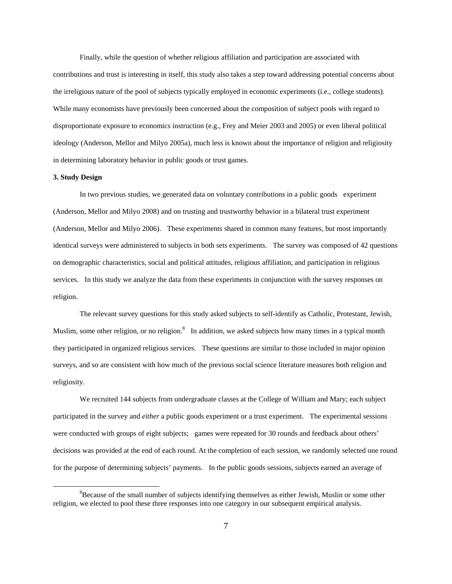Finally, while the question of whether religious affiliation and participation are associated with contributions and trust is interesting in itself, this study also takes a step toward addressing potential concerns about the irreligious nature of the pool of subjects typically employed in economic experiments (i.e., college students). While many economists have previously been concerned about the composition of subject pools with regard to disproportionate exposure to economics instruction (e.g., Frey and Meier 2003 and 2005) or even liberal political ideology (Anderson, Mellor and Milyo 2005a), much less is known about the importance of religion and religiosity in determining laboratory behavior in public goods or trust games.

#### **3. Study Design**

In two previous studies, we generated data on voluntary contributions in a public goods experiment (Anderson, Mellor and Milyo 2008) and on trusting and trustworthy behavior in a bilateral trust experiment (Anderson, Mellor and Milyo 2006). These experiments shared in common many features, but most importantly identical surveys were administered to subjects in both sets experiments. The survey was composed of 42 questions on demographic characteristics, social and political attitudes, religious affiliation, and participation in religious services. In this study we analyze the data from these experiments in conjunction with the survey responses on religion.

The relevant survey questions for this study asked subjects to self-identify as Catholic, Protestant, Jewish, Muslim, some other religion, or no religion. $\delta$  In addition, we asked subjects how many times in a typical month they participated in organized religious services. These questions are similar to those included in major opinion surveys, and so are consistent with how much of the previous social science literature measures both religion and religiosity.

We recruited 144 subjects from undergraduate classes at the College of William and Mary; each subject participated in the survey and *either* a public goods experiment or a trust experiment. The experimental sessions were conducted with groups of eight subjects; games were repeated for 30 rounds and feedback about others' decisions was provided at the end of each round. At the completion of each session, we randomly selected one round for the purpose of determining subjects' payments. In the public goods sessions, subjects earned an average of

 $\frac{1}{8}$  ${}^{8}$ Because of the small number of subjects identifying themselves as either Jewish, Muslin or some other religion, we elected to pool these three responses into one category in our subsequent empirical analysis.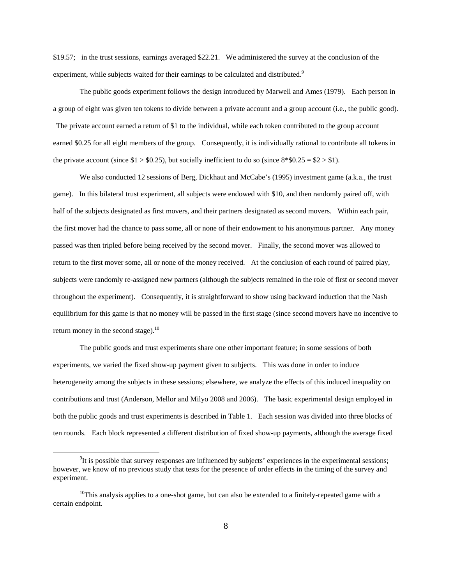\$19.57; in the trust sessions, earnings averaged \$22.21. We administered the survey at the conclusion of the experiment, while subjects waited for their earnings to be calculated and distributed.<sup>9</sup>

The public goods experiment follows the design introduced by Marwell and Ames (1979). Each person in a group of eight was given ten tokens to divide between a private account and a group account (i.e., the public good).

 The private account earned a return of \$1 to the individual, while each token contributed to the group account earned \$0.25 for all eight members of the group. Consequently, it is individually rational to contribute all tokens in the private account (since  $$1 > $0.25$ ), but socially inefficient to do so (since  $8*§0.25 = $2 > $1$ ).

We also conducted 12 sessions of Berg, Dickhaut and McCabe's (1995) investment game (a.k.a., the trust game). In this bilateral trust experiment, all subjects were endowed with \$10, and then randomly paired off, with half of the subjects designated as first movers, and their partners designated as second movers. Within each pair, the first mover had the chance to pass some, all or none of their endowment to his anonymous partner. Any money passed was then tripled before being received by the second mover. Finally, the second mover was allowed to return to the first mover some, all or none of the money received. At the conclusion of each round of paired play, subjects were randomly re-assigned new partners (although the subjects remained in the role of first or second mover throughout the experiment). Consequently, it is straightforward to show using backward induction that the Nash equilibrium for this game is that no money will be passed in the first stage (since second movers have no incentive to return money in the second stage). $^{10}$ 

The public goods and trust experiments share one other important feature; in some sessions of both experiments, we varied the fixed show-up payment given to subjects. This was done in order to induce heterogeneity among the subjects in these sessions; elsewhere, we analyze the effects of this induced inequality on contributions and trust (Anderson, Mellor and Milyo 2008 and 2006). The basic experimental design employed in both the public goods and trust experiments is described in Table 1. Each session was divided into three blocks of ten rounds. Each block represented a different distribution of fixed show-up payments, although the average fixed

 $\frac{1}{\sqrt{9}}$  ${}^{9}$ It is possible that survey responses are influenced by subjects' experiences in the experimental sessions; however, we know of no previous study that tests for the presence of order effects in the timing of the survey and experiment.

<sup>&</sup>lt;sup>10</sup>This analysis applies to a one-shot game, but can also be extended to a finitely-repeated game with a certain endpoint.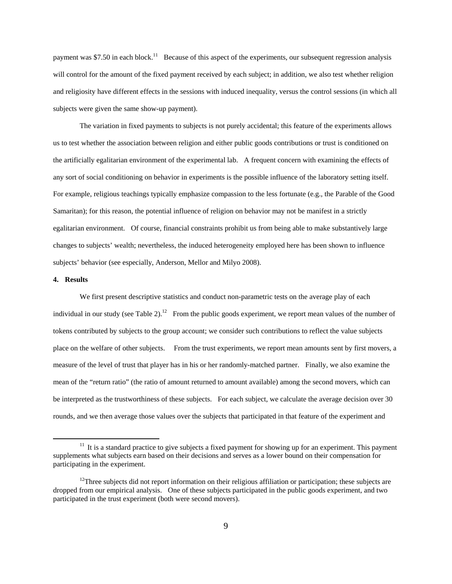payment was \$7.50 in each block.<sup>11</sup> Because of this aspect of the experiments, our subsequent regression analysis will control for the amount of the fixed payment received by each subject; in addition, we also test whether religion and religiosity have different effects in the sessions with induced inequality, versus the control sessions (in which all subjects were given the same show-up payment).

The variation in fixed payments to subjects is not purely accidental; this feature of the experiments allows us to test whether the association between religion and either public goods contributions or trust is conditioned on the artificially egalitarian environment of the experimental lab. A frequent concern with examining the effects of any sort of social conditioning on behavior in experiments is the possible influence of the laboratory setting itself. For example, religious teachings typically emphasize compassion to the less fortunate (e.g., the Parable of the Good Samaritan); for this reason, the potential influence of religion on behavior may not be manifest in a strictly egalitarian environment. Of course, financial constraints prohibit us from being able to make substantively large changes to subjects' wealth; nevertheless, the induced heterogeneity employed here has been shown to influence subjects' behavior (see especially, Anderson, Mellor and Milyo 2008).

## **4. Results**

We first present descriptive statistics and conduct non-parametric tests on the average play of each individual in our study (see Table 2).<sup>12</sup> From the public goods experiment, we report mean values of the number of tokens contributed by subjects to the group account; we consider such contributions to reflect the value subjects place on the welfare of other subjects. From the trust experiments, we report mean amounts sent by first movers, a measure of the level of trust that player has in his or her randomly-matched partner. Finally, we also examine the mean of the "return ratio" (the ratio of amount returned to amount available) among the second movers, which can be interpreted as the trustworthiness of these subjects. For each subject, we calculate the average decision over 30 rounds, and we then average those values over the subjects that participated in that feature of the experiment and

<sup>&</sup>lt;sup>11</sup> It is a standard practice to give subjects a fixed payment for showing up for an experiment. This payment supplements what subjects earn based on their decisions and serves as a lower bound on their compensation for participating in the experiment.

<sup>&</sup>lt;sup>12</sup>Three subjects did not report information on their religious affiliation or participation; these subjects are dropped from our empirical analysis. One of these subjects participated in the public goods experiment, and two participated in the trust experiment (both were second movers).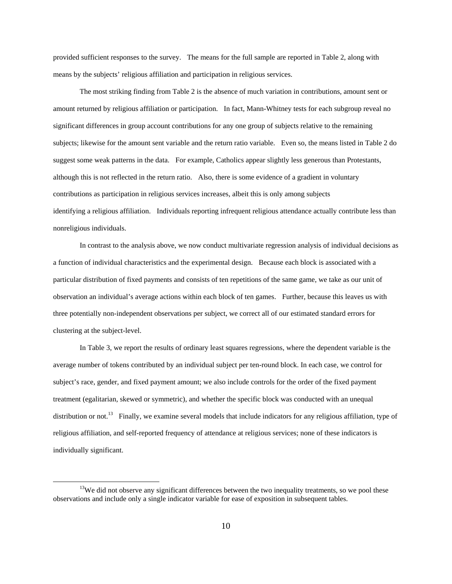provided sufficient responses to the survey. The means for the full sample are reported in Table 2, along with means by the subjects' religious affiliation and participation in religious services.

The most striking finding from Table 2 is the absence of much variation in contributions, amount sent or amount returned by religious affiliation or participation. In fact, Mann-Whitney tests for each subgroup reveal no significant differences in group account contributions for any one group of subjects relative to the remaining subjects; likewise for the amount sent variable and the return ratio variable. Even so, the means listed in Table 2 do suggest some weak patterns in the data. For example, Catholics appear slightly less generous than Protestants, although this is not reflected in the return ratio. Also, there is some evidence of a gradient in voluntary contributions as participation in religious services increases, albeit this is only among subjects identifying a religious affiliation. Individuals reporting infrequent religious attendance actually contribute less than nonreligious individuals.

In contrast to the analysis above, we now conduct multivariate regression analysis of individual decisions as a function of individual characteristics and the experimental design. Because each block is associated with a particular distribution of fixed payments and consists of ten repetitions of the same game, we take as our unit of observation an individual's average actions within each block of ten games. Further, because this leaves us with three potentially non-independent observations per subject, we correct all of our estimated standard errors for clustering at the subject-level.

In Table 3, we report the results of ordinary least squares regressions, where the dependent variable is the average number of tokens contributed by an individual subject per ten-round block. In each case, we control for subject's race, gender, and fixed payment amount; we also include controls for the order of the fixed payment treatment (egalitarian, skewed or symmetric), and whether the specific block was conducted with an unequal distribution or not.<sup>13</sup> Finally, we examine several models that include indicators for any religious affiliation, type of religious affiliation, and self-reported frequency of attendance at religious services; none of these indicators is individually significant.

 $13$ We did not observe any significant differences between the two inequality treatments, so we pool these observations and include only a single indicator variable for ease of exposition in subsequent tables.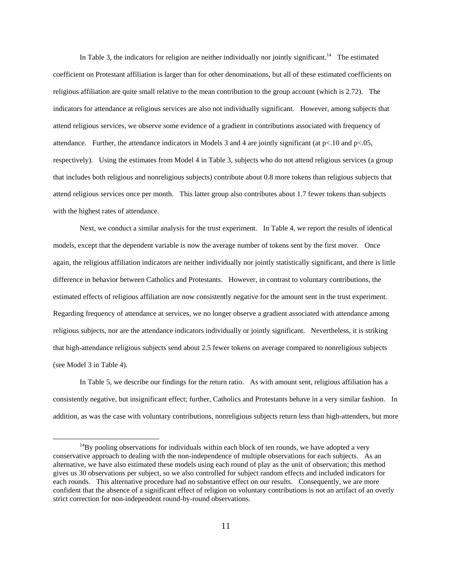In Table 3, the indicators for religion are neither individually nor jointly significant.<sup>14</sup> The estimated coefficient on Protestant affiliation is larger than for other denominations, but all of these estimated coefficients on religious affiliation are quite small relative to the mean contribution to the group account (which is 2.72). The indicators for attendance at religious services are also not individually significant. However, among subjects that attend religious services, we observe some evidence of a gradient in contributions associated with frequency of attendance. Further, the attendance indicators in Models 3 and 4 are jointly significant (at  $p<10$  and  $p<0.5$ , respectively). Using the estimates from Model 4 in Table 3, subjects who do not attend religious services (a group that includes both religious and nonreligious subjects) contribute about 0.8 more tokens than religious subjects that attend religious services once per month. This latter group also contributes about 1.7 fewer tokens than subjects with the highest rates of attendance.

Next, we conduct a similar analysis for the trust experiment. In Table 4, we report the results of identical models, except that the dependent variable is now the average number of tokens sent by the first mover. Once again, the religious affiliation indicators are neither individually nor jointly statistically significant, and there is little difference in behavior between Catholics and Protestants. However, in contrast to voluntary contributions, the estimated effects of religious affiliation are now consistently negative for the amount sent in the trust experiment. Regarding frequency of attendance at services, we no longer observe a gradient associated with attendance among religious subjects, nor are the attendance indicators individually or jointly significant. Nevertheless, it is striking that high-attendance religious subjects send about 2.5 fewer tokens on average compared to nonreligious subjects (see Model 3 in Table 4).

In Table 5, we describe our findings for the return ratio. As with amount sent, religious affiliation has a consistently negative, but insignificant effect; further, Catholics and Protestants behave in a very similar fashion. In addition, as was the case with voluntary contributions, nonreligious subjects return less than high-attenders, but more

 $14By$  pooling observations for individuals within each block of ten rounds, we have adopted a very conservative approach to dealing with the non-independence of multiple observations for each subjects. As an alternative, we have also estimated these models using each round of play as the unit of observation; this method gives us 30 observations per subject, so we also controlled for subject random effects and included indicators for each rounds. This alternative procedure had no substantive effect on our results. Consequently, we are more confident that the absence of a significant effect of religion on voluntary contributions is not an artifact of an overly strict correction for non-independent round-by-round observations.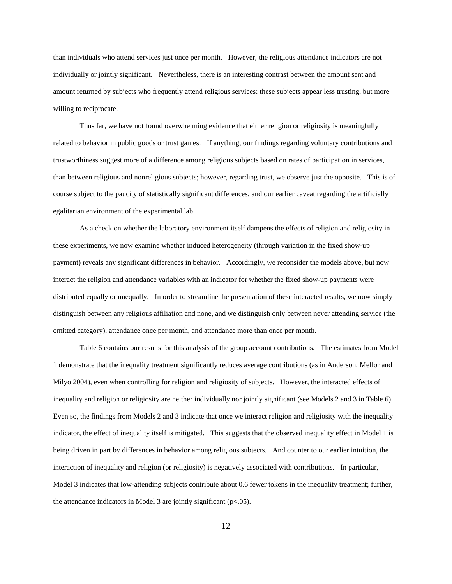than individuals who attend services just once per month. However, the religious attendance indicators are not individually or jointly significant. Nevertheless, there is an interesting contrast between the amount sent and amount returned by subjects who frequently attend religious services: these subjects appear less trusting, but more willing to reciprocate.

Thus far, we have not found overwhelming evidence that either religion or religiosity is meaningfully related to behavior in public goods or trust games. If anything, our findings regarding voluntary contributions and trustworthiness suggest more of a difference among religious subjects based on rates of participation in services, than between religious and nonreligious subjects; however, regarding trust, we observe just the opposite. This is of course subject to the paucity of statistically significant differences, and our earlier caveat regarding the artificially egalitarian environment of the experimental lab.

As a check on whether the laboratory environment itself dampens the effects of religion and religiosity in these experiments, we now examine whether induced heterogeneity (through variation in the fixed show-up payment) reveals any significant differences in behavior. Accordingly, we reconsider the models above, but now interact the religion and attendance variables with an indicator for whether the fixed show-up payments were distributed equally or unequally. In order to streamline the presentation of these interacted results, we now simply distinguish between any religious affiliation and none, and we distinguish only between never attending service (the omitted category), attendance once per month, and attendance more than once per month.

Table 6 contains our results for this analysis of the group account contributions. The estimates from Model 1 demonstrate that the inequality treatment significantly reduces average contributions (as in Anderson, Mellor and Milyo 2004), even when controlling for religion and religiosity of subjects. However, the interacted effects of inequality and religion or religiosity are neither individually nor jointly significant (see Models 2 and 3 in Table 6). Even so, the findings from Models 2 and 3 indicate that once we interact religion and religiosity with the inequality indicator, the effect of inequality itself is mitigated. This suggests that the observed inequality effect in Model 1 is being driven in part by differences in behavior among religious subjects. And counter to our earlier intuition, the interaction of inequality and religion (or religiosity) is negatively associated with contributions. In particular, Model 3 indicates that low-attending subjects contribute about 0.6 fewer tokens in the inequality treatment; further, the attendance indicators in Model 3 are jointly significant  $(p<.05)$ .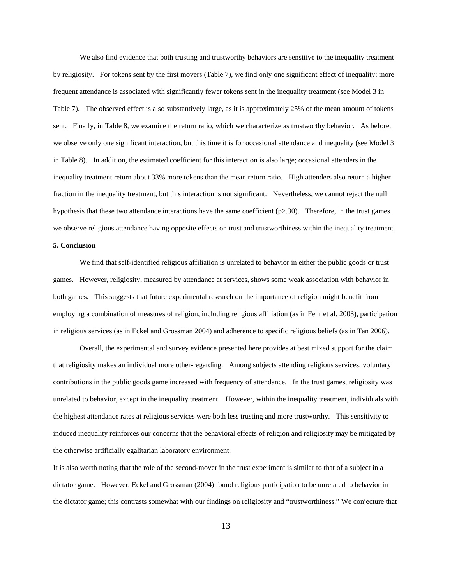We also find evidence that both trusting and trustworthy behaviors are sensitive to the inequality treatment by religiosity. For tokens sent by the first movers (Table 7), we find only one significant effect of inequality: more frequent attendance is associated with significantly fewer tokens sent in the inequality treatment (see Model 3 in Table 7). The observed effect is also substantively large, as it is approximately 25% of the mean amount of tokens sent. Finally, in Table 8, we examine the return ratio, which we characterize as trustworthy behavior. As before, we observe only one significant interaction, but this time it is for occasional attendance and inequality (see Model 3 in Table 8). In addition, the estimated coefficient for this interaction is also large; occasional attenders in the inequality treatment return about 33% more tokens than the mean return ratio. High attenders also return a higher fraction in the inequality treatment, but this interaction is not significant. Nevertheless, we cannot reject the null hypothesis that these two attendance interactions have the same coefficient  $(p>0.30)$ . Therefore, in the trust games we observe religious attendance having opposite effects on trust and trustworthiness within the inequality treatment.

### **5. Conclusion**

We find that self-identified religious affiliation is unrelated to behavior in either the public goods or trust games. However, religiosity, measured by attendance at services, shows some weak association with behavior in both games. This suggests that future experimental research on the importance of religion might benefit from employing a combination of measures of religion, including religious affiliation (as in Fehr et al. 2003), participation in religious services (as in Eckel and Grossman 2004) and adherence to specific religious beliefs (as in Tan 2006).

Overall, the experimental and survey evidence presented here provides at best mixed support for the claim that religiosity makes an individual more other-regarding. Among subjects attending religious services, voluntary contributions in the public goods game increased with frequency of attendance. In the trust games, religiosity was unrelated to behavior, except in the inequality treatment. However, within the inequality treatment, individuals with the highest attendance rates at religious services were both less trusting and more trustworthy. This sensitivity to induced inequality reinforces our concerns that the behavioral effects of religion and religiosity may be mitigated by the otherwise artificially egalitarian laboratory environment.

It is also worth noting that the role of the second-mover in the trust experiment is similar to that of a subject in a dictator game. However, Eckel and Grossman (2004) found religious participation to be unrelated to behavior in the dictator game; this contrasts somewhat with our findings on religiosity and "trustworthiness." We conjecture that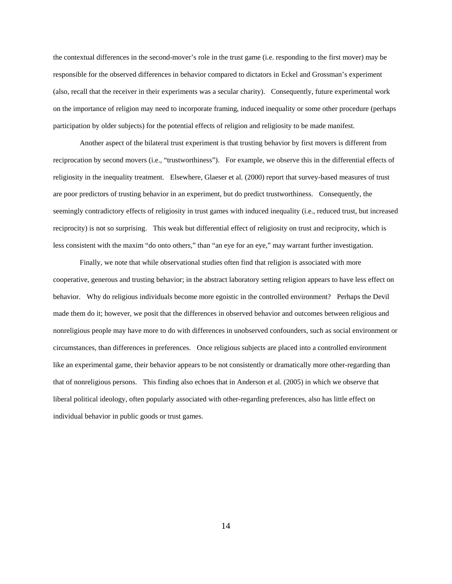the contextual differences in the second-mover's role in the trust game (i.e. responding to the first mover) may be responsible for the observed differences in behavior compared to dictators in Eckel and Grossman's experiment (also, recall that the receiver in their experiments was a secular charity). Consequently, future experimental work on the importance of religion may need to incorporate framing, induced inequality or some other procedure (perhaps participation by older subjects) for the potential effects of religion and religiosity to be made manifest.

Another aspect of the bilateral trust experiment is that trusting behavior by first movers is different from reciprocation by second movers (i.e., "trustworthiness"). For example, we observe this in the differential effects of religiosity in the inequality treatment. Elsewhere, Glaeser et al. (2000) report that survey-based measures of trust are poor predictors of trusting behavior in an experiment, but do predict trustworthiness. Consequently, the seemingly contradictory effects of religiosity in trust games with induced inequality (i.e., reduced trust, but increased reciprocity) is not so surprising. This weak but differential effect of religiosity on trust and reciprocity, which is less consistent with the maxim "do onto others," than "an eye for an eye," may warrant further investigation.

Finally, we note that while observational studies often find that religion is associated with more cooperative, generous and trusting behavior; in the abstract laboratory setting religion appears to have less effect on behavior. Why do religious individuals become more egoistic in the controlled environment? Perhaps the Devil made them do it; however, we posit that the differences in observed behavior and outcomes between religious and nonreligious people may have more to do with differences in unobserved confounders, such as social environment or circumstances, than differences in preferences. Once religious subjects are placed into a controlled environment like an experimental game, their behavior appears to be not consistently or dramatically more other-regarding than that of nonreligious persons. This finding also echoes that in Anderson et al. (2005) in which we observe that liberal political ideology, often popularly associated with other-regarding preferences, also has little effect on individual behavior in public goods or trust games.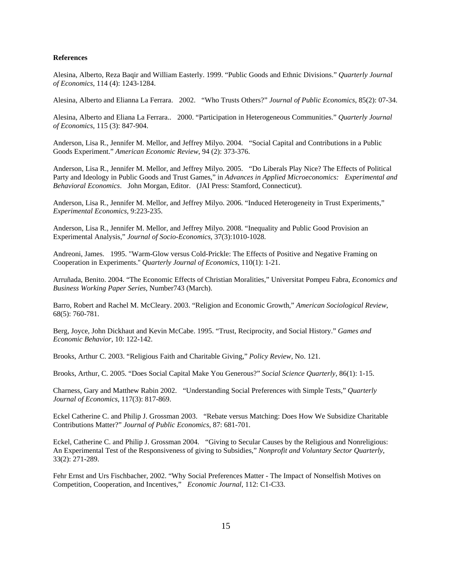#### **References**

Alesina, Alberto, Reza Baqir and William Easterly. 1999. "Public Goods and Ethnic Divisions." *Quarterly Journal of Economics*, 114 (4): 1243-1284.

Alesina, Alberto and Elianna La Ferrara. 2002. "Who Trusts Others?" *Journal of Public Economics*, 85(2): 07-34.

Alesina, Alberto and Eliana La Ferrara.. 2000. "Participation in Heterogeneous Communities." *Quarterly Journal of Economics*, 115 (3): 847-904.

Anderson, Lisa R., Jennifer M. Mellor, and Jeffrey Milyo. 2004. "Social Capital and Contributions in a Public Goods Experiment." *American Economic Review*, 94 (2): 373-376.

Anderson, Lisa R., Jennifer M. Mellor, and Jeffrey Milyo. 2005. "Do Liberals Play Nice? The Effects of Political Party and Ideology in Public Goods and Trust Games," in *Advances in Applied Microeconomics: Experimental and Behavioral Economics*. John Morgan, Editor. (JAI Press: Stamford, Connecticut).

Anderson, Lisa R., Jennifer M. Mellor, and Jeffrey Milyo. 2006. "Induced Heterogeneity in Trust Experiments," *Experimental Economics*, 9:223-235.

Anderson, Lisa R., Jennifer M. Mellor, and Jeffrey Milyo. 2008. "Inequality and Public Good Provision an Experimental Analysis," *Journal of Socio-Economics*, 37(3):1010-1028.

Andreoni, James. 1995. "Warm-Glow versus Cold-Prickle: The Effects of Positive and Negative Framing on Cooperation in Experiments.'' *Quarterly Journal of Economics*, 110(1): 1-21.

Arruñada, Benito. 2004. "The Economic Effects of Christian Moralities," Universitat Pompeu Fabra, *Economics and Business Working Paper Series*, Number743 (March).

Barro, Robert and Rachel M. McCleary. 2003. "Religion and Economic Growth," *American Sociological Review*, 68(5): 760-781.

Berg, Joyce, John Dickhaut and Kevin McCabe. 1995. "Trust, Reciprocity, and Social History." *Games and Economic Behavior*, 10: 122-142.

Brooks, Arthur C. 2003. "Religious Faith and Charitable Giving," *Policy Review,* No. 121.

Brooks, Arthur, C. 2005. "Does Social Capital Make You Generous?" *Social Science Quarterly*, 86(1): 1-15.

Charness, Gary and Matthew Rabin 2002. "Understanding Social Preferences with Simple Tests," *Quarterly Journal of Economics*, 117(3): 817-869.

Eckel Catherine C. and Philip J. Grossman 2003. "Rebate versus Matching: Does How We Subsidize Charitable Contributions Matter?" *Journal of Public Economics*, 87: 681-701.

Eckel, Catherine C. and Philip J. Grossman 2004. "Giving to Secular Causes by the Religious and Nonreligious: An Experimental Test of the Responsiveness of giving to Subsidies," *Nonprofit and Voluntary Sector Quarterly*, 33(2): 271-289.

Fehr Ernst and Urs Fischbacher, 2002. "Why Social Preferences Matter - The Impact of Nonselfish Motives on Competition, Cooperation, and Incentives," *Economic Journal*, 112: C1-C33.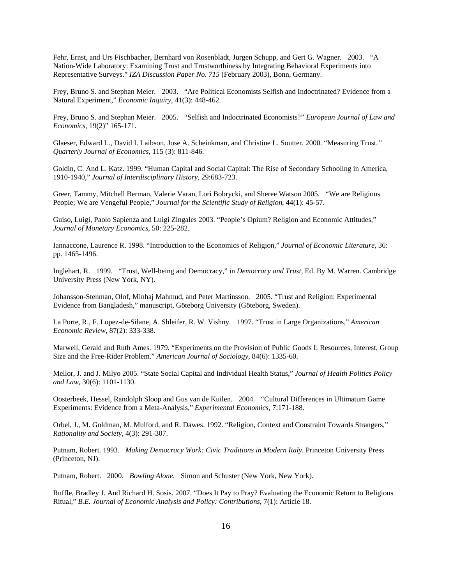Fehr, Ernst, and Urs Fischbacher, Bernhard von Rosenbladt, Jurgen Schupp, and Gert G. Wagner. 2003. "A Nation-Wide Laboratory: Examining Trust and Trustworthiness by Integrating Behavioral Experiments into Representative Surveys." *IZA Discussion Paper No. 715* (February 2003), Bonn, Germany.

Frey, Bruno S. and Stephan Meier. 2003. "Are Political Economists Selfish and Indoctrinated? Evidence from a Natural Experiment," *Economic Inquiry*, 41(3): 448-462.

Frey, Bruno S. and Stephan Meier. 2005. "Selfish and Indoctrinated Economists?" *European Journal of Law and Economics*, 19(2)" 165-171.

Glaeser, Edward L., David I. Laibson, Jose A. Scheinkman, and Christine L. Soutter. 2000. "Measuring Trust.*" Quarterly Journal of Economics,* 115 (3): 811-846.

Goldin, C. And L. Katz. 1999. "Human Capital and Social Capital: The Rise of Secondary Schooling in America, 1910-1940," *Journal of Interdisciplinary History*, 29:683-723.

Greer, Tammy, Mitchell Berman, Valerie Varan, Lori Bobrycki, and Sheree Watson 2005. "We are Religious People; We are Vengeful People," *Journal for the Scientific Study of Religion*, 44(1): 45-57.

Guiso, Luigi, Paolo Sapienza and Luigi Zingales 2003. "People's Opium? Religion and Economic Attitudes," *Journal of Monetary Economics*, 50: 225-282.

Iannaccone, Laurence R. 1998. "Introduction to the Economics of Religion," *Journal of Economic Literature*, 36: pp. 1465-1496.

Inglehart, R. 1999. "Trust, Well-being and Democracy," in *Democracy and Trust*, Ed. By M. Warren. Cambridge University Press (New York, NY).

Johansson-Stenman, Olof, Minhaj Mahmud, and Peter Martinsson. 2005. "Trust and Religion: Experimental Evidence from Bangladesh," manuscript, Göteborg University (Göteborg, Sweden).

La Porte, R., F. Lopez-de-Silane, A. Shleifer, R. W. Vishny. 1997. "Trust in Large Organizations," *American Economic Review*, 87(2): 333-338.

Marwell, Gerald and Ruth Ames. 1979. "Experiments on the Provision of Public Goods I: Resources, Interest, Group Size and the Free-Rider Problem." *American Journal of Sociology*, 84(6): 1335-60.

Mellor, J. and J. Milyo 2005. "State Social Capital and Individual Health Status," *Journal of Health Politics Policy and Law*, 30(6): 1101-1130.

Oosterbeek, Hessel, Randolph Sloop and Gus van de Kuilen. 2004. "Cultural Differences in Ultimatum Game Experiments: Evidence from a Meta-Analysis," *Experimental Economics*, 7:171-188.

Orbel, J., M. Goldman, M. Mulford, and R. Dawes. 1992. "Religion, Context and Constraint Towards Strangers," *Rationality and Society*, 4(3): 291-307.

Putnam, Robert. 1993. *Making Democracy Work: Civic Traditions in Modern Italy*. Princeton University Press (Princeton, NJ).

Putnam, Robert. 2000. *Bowling Alone*. Simon and Schuster (New York, New York).

Ruffle, Bradley J. And Richard H. Sosis. 2007. "Does It Pay to Pray? Evaluating the Economic Return to Religious Ritual," *B.E. Journal of Economic Analysis and Policy: Contributions*, 7(1): Article 18.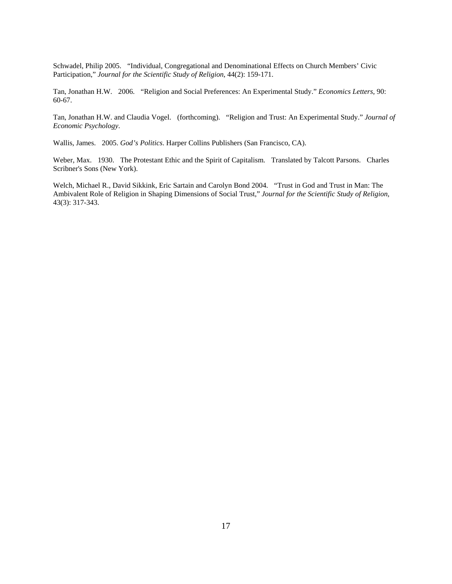Schwadel, Philip 2005. "Individual, Congregational and Denominational Effects on Church Members' Civic Participation," *Journal for the Scientific Study of Religion*, 44(2): 159-171.

Tan, Jonathan H.W. 2006. "Religion and Social Preferences: An Experimental Study." *Economics Letters*, 90: 60-67.

Tan, Jonathan H.W. and Claudia Vogel. (forthcoming). "Religion and Trust: An Experimental Study." *Journal of Economic Psychology*.

Wallis, James. 2005. *God's Politics*. Harper Collins Publishers (San Francisco, CA).

Weber, Max. 1930. The Protestant Ethic and the Spirit of Capitalism. Translated by Talcott Parsons. Charles Scribner's Sons (New York).

Welch, Michael R., David Sikkink, Eric Sartain and Carolyn Bond 2004. "Trust in God and Trust in Man: The Ambivalent Role of Religion in Shaping Dimensions of Social Trust," *Journal for the Scientific Study of Religion*, 43(3): 317-343.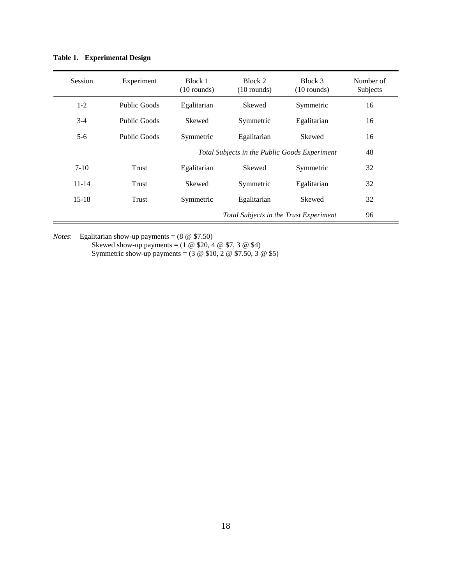| Session   | Experiment   | Block 1<br>$(10$ rounds) | Block 2<br>$(10$ rounds)                      | Block 3<br>$(10$ rounds) | Number of<br>Subjects |
|-----------|--------------|--------------------------|-----------------------------------------------|--------------------------|-----------------------|
| $1 - 2$   | Public Goods | Egalitarian              | Skewed                                        | Symmetric                | 16                    |
| $3-4$     | Public Goods | Skewed                   | Symmetric                                     | Egalitarian              | 16                    |
| $5-6$     | Public Goods | Symmetric                | Egalitarian                                   | Skewed                   | 16                    |
|           |              |                          | Total Subjects in the Public Goods Experiment |                          | 48                    |
| $7-10$    | <b>Trust</b> | Egalitarian              | Skewed                                        | Symmetric                | 32                    |
| $11 - 14$ | <b>Trust</b> | Skewed                   | Symmetric                                     | Egalitarian              | 32                    |
| $15 - 18$ | Trust        | Symmetric                | Egalitarian                                   | Skewed                   | 32                    |
|           |              |                          | Total Subjects in the Trust Experiment        |                          | 96                    |

**Table 1. Experimental Design**

*Notes*: Egalitarian show-up payments =  $(8 \t@ 150)$ Skewed show-up payments =  $(1 \otimes $20, 4 \otimes $7, 3 \otimes $4)$ Symmetric show-up payments =  $(3 \circ 10, 2 \circ 57.50, 3 \circ 5)$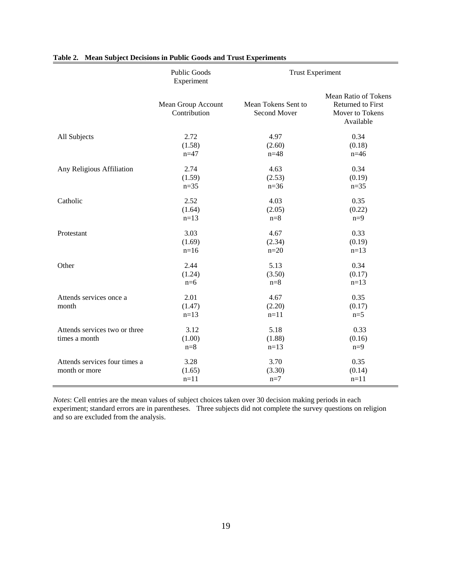|                                                | <b>Public Goods</b><br>Experiment  | <b>Trust Experiment</b>                    |                                                                           |
|------------------------------------------------|------------------------------------|--------------------------------------------|---------------------------------------------------------------------------|
|                                                | Mean Group Account<br>Contribution | Mean Tokens Sent to<br><b>Second Mover</b> | Mean Ratio of Tokens<br>Returned to First<br>Mover to Tokens<br>Available |
| All Subjects                                   | 2.72                               | 4.97                                       | 0.34                                                                      |
|                                                | (1.58)                             | (2.60)                                     | (0.18)                                                                    |
|                                                | $n = 47$                           | $n = 48$                                   | $n=46$                                                                    |
| Any Religious Affiliation                      | 2.74                               | 4.63                                       | 0.34                                                                      |
|                                                | (1.59)                             | (2.53)                                     | (0.19)                                                                    |
|                                                | $n=35$                             | $n=36$                                     | $n=35$                                                                    |
| Catholic                                       | 2.52                               | 4.03                                       | 0.35                                                                      |
|                                                | (1.64)                             | (2.05)                                     | (0.22)                                                                    |
|                                                | $n=13$                             | $n=8$                                      | $n=9$                                                                     |
| Protestant                                     | 3.03                               | 4.67                                       | 0.33                                                                      |
|                                                | (1.69)                             | (2.34)                                     | (0.19)                                                                    |
|                                                | $n=16$                             | $n=20$                                     | $n=13$                                                                    |
| Other                                          | 2.44                               | 5.13                                       | 0.34                                                                      |
|                                                | (1.24)                             | (3.50)                                     | (0.17)                                                                    |
|                                                | $n=6$                              | $n=8$                                      | $n=13$                                                                    |
| Attends services once a<br>month               | 2.01<br>(1.47)<br>$n=13$           | 4.67<br>(2.20)<br>$n=11$                   | 0.35<br>(0.17)<br>$n=5$                                                   |
| Attends services two or three<br>times a month | 3.12<br>(1.00)<br>$n=8$            | 5.18<br>(1.88)<br>$n=13$                   | 0.33<br>(0.16)<br>$n=9$                                                   |
| Attends services four times a<br>month or more | 3.28<br>(1.65)<br>$n=11$           | 3.70<br>(3.30)<br>$n=7$                    | 0.35<br>(0.14)<br>$n=11$                                                  |

# **Table 2. Mean Subject Decisions in Public Goods and Trust Experiments**

*Notes*: Cell entries are the mean values of subject choices taken over 30 decision making periods in each experiment; standard errors are in parentheses. Three subjects did not complete the survey questions on religion and so are excluded from the analysis.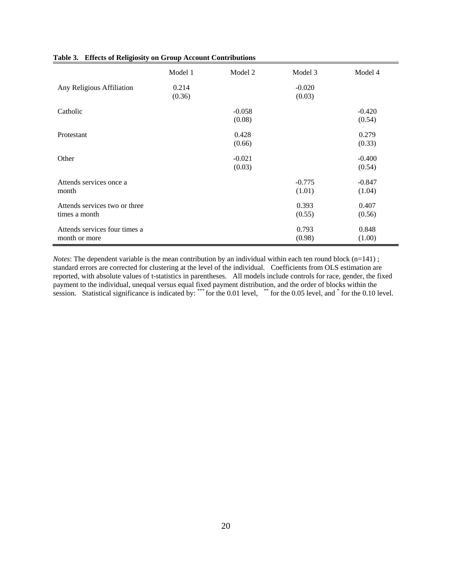|                                                | Model 1         | Model 2            | Model 3            | Model 4            |
|------------------------------------------------|-----------------|--------------------|--------------------|--------------------|
| Any Religious Affiliation                      | 0.214<br>(0.36) |                    | $-0.020$<br>(0.03) |                    |
| Catholic                                       |                 | $-0.058$<br>(0.08) |                    | $-0.420$<br>(0.54) |
| Protestant                                     |                 | 0.428<br>(0.66)    |                    | 0.279<br>(0.33)    |
| Other                                          |                 | $-0.021$<br>(0.03) |                    | $-0.400$<br>(0.54) |
| Attends services once a<br>month               |                 |                    | $-0.775$<br>(1.01) | $-0.847$<br>(1.04) |
| Attends services two or three<br>times a month |                 |                    | 0.393<br>(0.55)    | 0.407<br>(0.56)    |
| Attends services four times a<br>month or more |                 |                    | 0.793<br>(0.98)    | 0.848<br>(1.00)    |

#### **Table 3. Effects of Religiosity on Group Account Contributions**

*Notes*: The dependent variable is the mean contribution by an individual within each ten round block (n=141) ; standard errors are corrected for clustering at the level of the individual. Coefficients from OLS estimation are reported, with absolute values of t-statistics in parentheses. All models include controls for race, gender, the fixed payment to the individual, unequal versus equal fixed payment distribution, and the order of blocks within the session. Statistical significance is indicated by: \*\*\* for the 0.01 level, \*\* for the 0.05 level, and \* for the 0.10 level.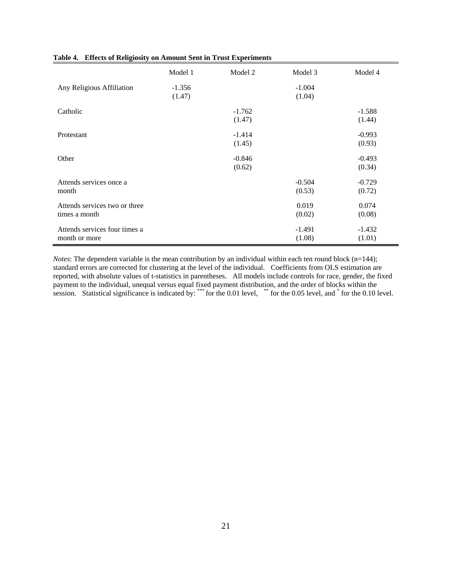|                                                | Model 1            | Model 2            | Model 3            | Model 4            |
|------------------------------------------------|--------------------|--------------------|--------------------|--------------------|
| Any Religious Affiliation                      | $-1.356$<br>(1.47) |                    | $-1.004$<br>(1.04) |                    |
| Catholic                                       |                    | $-1.762$<br>(1.47) |                    | $-1.588$<br>(1.44) |
| Protestant                                     |                    | $-1.414$<br>(1.45) |                    | $-0.993$<br>(0.93) |
| Other                                          |                    | $-0.846$<br>(0.62) |                    | $-0.493$<br>(0.34) |
| Attends services once a<br>month               |                    |                    | $-0.504$<br>(0.53) | $-0.729$<br>(0.72) |
| Attends services two or three<br>times a month |                    |                    | 0.019<br>(0.02)    | 0.074<br>(0.08)    |
| Attends services four times a<br>month or more |                    |                    | $-1.491$<br>(1.08) | $-1.432$<br>(1.01) |

# **Table 4. Effects of Religiosity on Amount Sent in Trust Experiments**

*Notes*: The dependent variable is the mean contribution by an individual within each ten round block (n=144); standard errors are corrected for clustering at the level of the individual. Coefficients from OLS estimation are reported, with absolute values of t-statistics in parentheses. All models include controls for race, gender, the fixed payment to the individual, unequal versus equal fixed payment distribution, and the order of blocks within the session. Statistical significance is indicated by: \*\*\* for the 0.01 level, \*\* for the 0.05 level, and \* for the 0.10 level.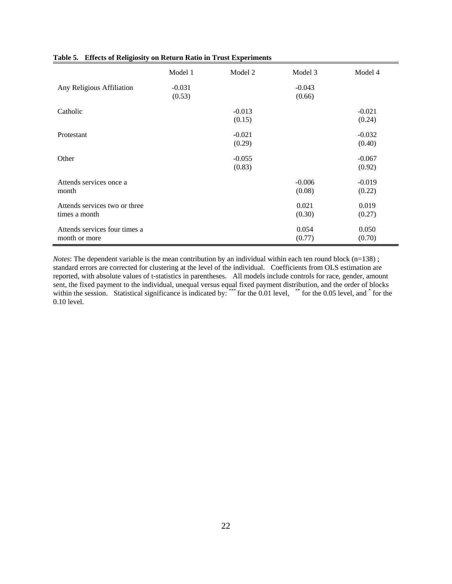|                                                | Model 1            | Model 2            | Model 3            | Model 4            |
|------------------------------------------------|--------------------|--------------------|--------------------|--------------------|
| Any Religious Affiliation                      | $-0.031$<br>(0.53) |                    | $-0.043$<br>(0.66) |                    |
| Catholic                                       |                    | $-0.013$<br>(0.15) |                    | $-0.021$<br>(0.24) |
| Protestant                                     |                    | $-0.021$<br>(0.29) |                    | $-0.032$<br>(0.40) |
| Other                                          |                    | $-0.055$<br>(0.83) |                    | $-0.067$<br>(0.92) |
| Attends services once a<br>month               |                    |                    | $-0.006$<br>(0.08) | $-0.019$<br>(0.22) |
| Attends services two or three<br>times a month |                    |                    | 0.021<br>(0.30)    | 0.019<br>(0.27)    |
| Attends services four times a<br>month or more |                    |                    | 0.054<br>(0.77)    | 0.050<br>(0.70)    |

# **Table 5. Effects of Religiosity on Return Ratio in Trust Experiments**

*Notes*: The dependent variable is the mean contribution by an individual within each ten round block (n=138) ; standard errors are corrected for clustering at the level of the individual. Coefficients from OLS estimation are reported, with absolute values of t-statistics in parentheses. All models include controls for race, gender, amount sent, the fixed payment to the individual, unequal versus equal fixed payment distribution, and the order of blocks within the session. Statistical significance is indicated by: \*\*\* for the 0.01 level, \*\* for the 0.05 level, and \* for the 0.10 level.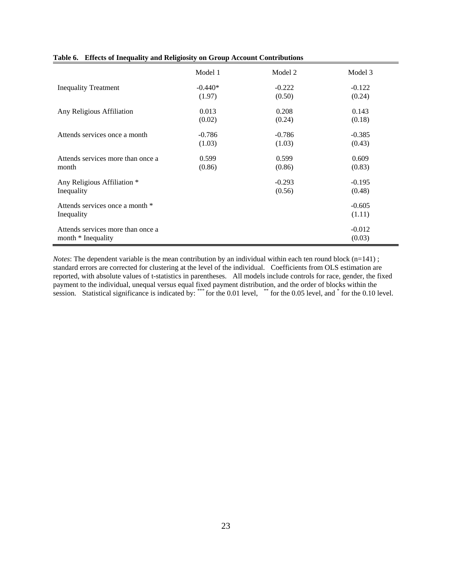|                                                         | Model 1             | Model 2            | Model 3            |
|---------------------------------------------------------|---------------------|--------------------|--------------------|
| Inequality Treatment                                    | $-0.440*$<br>(1.97) | $-0.222$<br>(0.50) | $-0.122$<br>(0.24) |
| Any Religious Affiliation                               | 0.013<br>(0.02)     | 0.208<br>(0.24)    | 0.143<br>(0.18)    |
| Attends services once a month                           | $-0.786$            | $-0.786$           | $-0.385$           |
| Attends services more than once a                       | (1.03)<br>0.599     | (1.03)<br>0.599    | (0.43)<br>0.609    |
| month                                                   | (0.86)              | (0.86)             | (0.83)             |
| Any Religious Affiliation *<br>Inequality               |                     | $-0.293$<br>(0.56) | $-0.195$<br>(0.48) |
| Attends services once a month *<br>Inequality           |                     |                    | $-0.605$<br>(1.11) |
| Attends services more than once a<br>month * Inequality |                     |                    | $-0.012$<br>(0.03) |

### **Table 6. Effects of Inequality and Religiosity on Group Account Contributions**

*Notes*: The dependent variable is the mean contribution by an individual within each ten round block (n=141) ; standard errors are corrected for clustering at the level of the individual. Coefficients from OLS estimation are reported, with absolute values of t-statistics in parentheses. All models include controls for race, gender, the fixed payment to the individual, unequal versus equal fixed payment distribution, and the order of blocks within the session. Statistical significance is indicated by: \*\*\* for the 0.01 level, \*\* for the 0.05 level, and \* for the 0.10 level.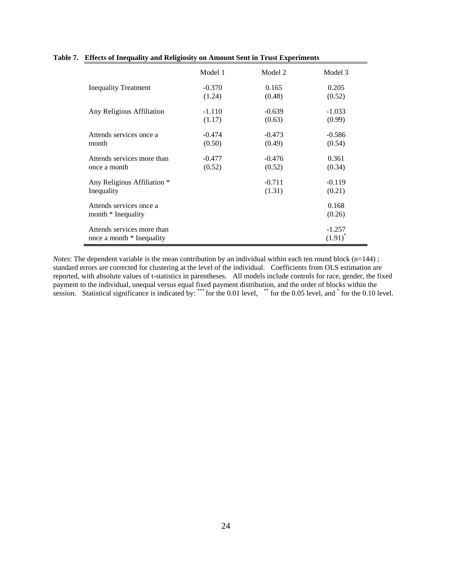|                             | Model 1  | Model 2  | Model 3      |
|-----------------------------|----------|----------|--------------|
| Inequality Treatment        | $-0.370$ | 0.165    | 0.205        |
|                             | (1.24)   | (0.48)   | (0.52)       |
| Any Religious Affiliation   | $-1.110$ | $-0.639$ | $-1.033$     |
|                             | (1.17)   | (0.63)   | (0.99)       |
| Attends services once a     | $-0.474$ | $-0.473$ | $-0.586$     |
| month                       | (0.50)   | (0.49)   | (0.54)       |
| Attends services more than  | $-0.477$ | $-0.476$ | 0.361        |
| once a month                | (0.52)   | (0.52)   | (0.34)       |
| Any Religious Affiliation * |          | $-0.711$ | $-0.119$     |
| Inequality                  |          | (1.31)   | (0.21)       |
| Attends services once a     |          |          | 0.168        |
| month * Inequality          |          |          | (0.26)       |
| Attends services more than  |          |          | $-1.257$     |
| once a month * Inequality   |          |          | $(1.91)^{*}$ |

**Table 7. Effects of Inequality and Religiosity on Amount Sent in Trust Experiments**

*Notes*: The dependent variable is the mean contribution by an individual within each ten round block (n=144) ; standard errors are corrected for clustering at the level of the individual. Coefficients from OLS estimation are reported, with absolute values of t-statistics in parentheses. All models include controls for race, gender, the fixed payment to the individual, unequal versus equal fixed payment distribution, and the order of blocks within the session. Statistical significance is indicated by: \*\*\* for the 0.01 level, \*\* for the 0.05 level, and \* for the 0.10 level.